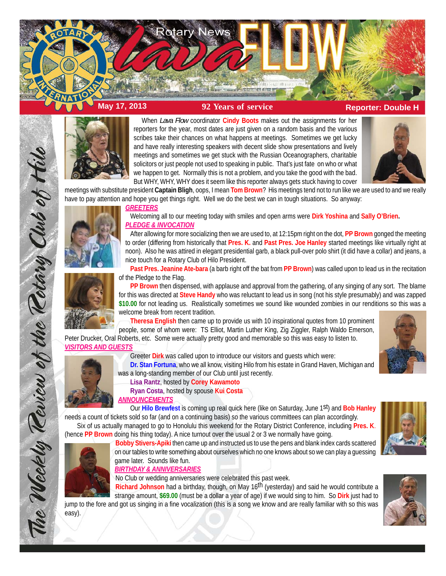

**May 17, 2013 92 Years of service Reporter: Double H** 



When *Lava Flow* coordinator **Cindy Boots** makes out the assignments for her reporters for the year, most dates are just given on a random basis and the various scribes take their chances on what happens at meetings. Sometimes we get lucky and have really interesting speakers with decent slide show presentations and lively meetings and sometimes we get stuck with the Russian Oceanographers, charitable solicitors or just people not used to speaking in public. That's just fate on who or what we happen to get. Normally this is not a problem, and you take the good with the bad. But WHY, WHY, WHY does it seem like this reporter always gets stuck having to cover



meetings with substitute president **Captain Bligh**, oops, I mean **Tom Brown**? His meetings tend not to run like we are used to and we really have to pay attention and hope you get things right. Well we do the best we can in tough situations. So anyway:



## *GREETERS*

Welcoming all to our meeting today with smiles and open arms were **Dirk Yoshina** and **Sally O'Brien.** *PLEDGE & INVOCATION*

After allowing for more socializing then we are used to, at 12:15pm right on the dot, **PP Brown** gonged the meeting to order (differing from historically that **Pres. K.** and **Past Pres. Joe Hanley** started meetings like virtually right at noon). Also he was attired in elegant presidential garb, a black pull-over polo shirt (it did have a collar) and jeans, a nice touch for a Rotary Club of Hilo President.

**Past Pres. Jeanine Ate-bara** (a barb right off the bat from **PP Brown**) was called upon to lead us in the recitation of the Pledge to the Flag.

**PP Brown** then dispensed, with applause and approval from the gathering, of any singing of any sort. The blame for this was directed at **Steve Handy** who was reluctant to lead us in song (not his style presumably) and was zapped **\$10.00** for not leading us. Realistically sometimes we sound like wounded zombies in our renditions so this was a welcome break from recent tradition.

**Theresa English** then came up to provide us with 10 inspirational quotes from 10 prominent people, some of whom were: TS Elliot, Martin Luther King, Zig Ziggler, Ralph Waldo Emerson,

Peter Drucker, Oral Roberts, etc. Some were actually pretty good and memorable so this was easy to listen to. *VISITORS AND GUESTS*





The Weekly Review of the Rotary Club of Hil

easy).

**Dr. Stan Fortuna**, who we all know, visiting Hilo from his estate in Grand Haven, Michigan and was a long-standing member of our Club until just recently.

**Lisa Rantz**, hosted by **Corey Kawamoto**

**Ryan Costa**, hosted by spouse **Kui Costa** *ANNOUNCEMENTS*

Our **Hilo Brewfest** is coming up real quick here (like on Saturday, June 1st) and **Bob Hanley** needs a count of tickets sold so far (and on a continuing basis) so the various committees can plan accordingly. Six of us actually managed to go to Honolulu this weekend for the Rotary District Conference, including **Pres. K**.

(hence **PP Brown** doing his thing today). A nice turnout over the usual 2 or 3 we normally have going.



*BIRTHDAY & ANNIVERSARIES*

No Club or wedding anniversaries were celebrated this past week.

**Richard Johnson** had a birthday, though, on May 16th (yesterday) and said he would contribute a strange amount, **\$69.00** (must be a dollar a year of age) if we would sing to him. So **Dirk** just had to jump to the fore and got us singing in a fine vocalization (this is a song we know and are really familiar with so this was



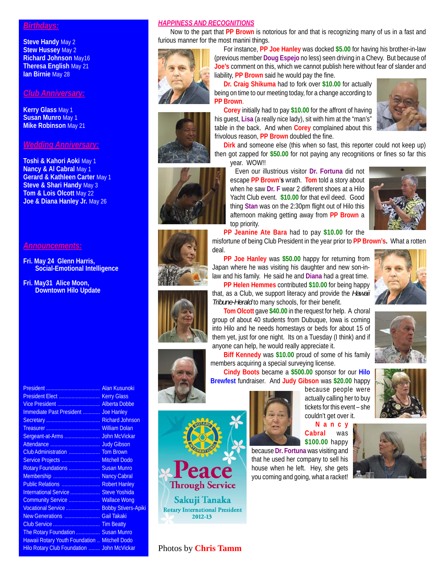## *Birthdays:*

**Steve Handy** May 2 **Stew Hussey** May 2 **Richard Johnson** May16 **Theresa English** May 21 **Ian Birnie** May 28

## *Club Anniversary:*

**Kerry Glass** May 1 **Susan Munro** May 1 **Mike Robinson** May 21

# *Wedding Anniversary:*

**Toshi & Kahori Aoki** May 1 **Nancy & AI Cabral May 1 Gerard & Kathleen Carter** May 1 **Steve & Shari Handy** May 3 **Tom & Lois Olcott** May 22 **Joe & Diana Hanley Jr.** May 26

### *Announcements:*

- **Fri. May 24 Glenn Harris, Social-Emotional Intelligence**
- **Fri. May31 Alice Moon, Downtown Hilo Update**

President Elect ................................. Kerry Glass Vice President .............................. Alberta Dobbe Immediate Past President ............ Joe Hanley Secretary ...................................... Richard Johnson Treasurer ...................................... William Dolan Sergeant-at-Arms ......................... John McVickar Attendance ................................... Judy Gibson Club Administration ...................... Tom Brown Service Projects ........................... Mitchell Dodo Rotary Foundations .......................... Susan Munro Membership ................................. Nancy Cabral Public Relations ........................... Robert Hanley International Service ..................... Steve Yoshida Community Service ...................... Wallace Wong Vocational Service ........................ Bobby Stivers-Apiki New Generations ......................... Gail Takaki Club Service ................................. Tim Beatty The Rotary Foundation ................. Susan Munro Hawaii Rotary Youth Foundation .. Mitchell Dodo Hilo Rotary Club Foundation ........ John McVickar

President ...................................... Alan Kusunoki

#### *HAPPINESS AND RECOGNITIONS*

**PP Brown**.

Now to the part that **PP Brown** is notorious for and that is recognizing many of us in a fast and furious manner for the most manini things. For instance, **PP Joe Hanley** was docked **\$5.00** for having his brother-in-law

liability, **PP Brown** said he would pay the fine.

frivolous reason, **PP Brown** doubled the fine.

year. WOW!!

top priority.

(previous member **Doug Espejo** no less) seen driving in a Chevy. But because of **Joe's** comment on this, which we cannot publish here without fear of slander and













anyone can help, he would really appreciate it. **Biff Kennedy** was **\$10.00** proud of some of his family members acquiring a special surveying license. **Cindy Boots** became a **\$500.00** sponsor for our **Hilo**

*Tribune-Herald* to many schools, for their benefit.

**Brewfest** fundraiser. And **Judy Gibson** was **\$20.00** happy

them yet, just for one night. Its on a Tuesday (I think) and if

because people were actually calling her to buy tickets for this event – she couldn't get over it.

**Nancy Cabral** was **\$100.00** happy because **Dr. Fortuna** was visiting and

that he used her company to sell his house when he left. Hey, she gets you coming and going, what a racket!





**PP Jeanine Ate Bara** had to pay **\$10.00** for the

Even our illustrious visitor **Dr. Fortuna** did not escape **PP Brown's** wrath. **Tom** told a story about when he saw **Dr. F** wear 2 different shoes at a Hilo Yacht Club event. **\$10.00** for that evil deed. Good thing **Stan** was on the 2:30pm flight out of Hilo this afternoon making getting away from **PP Brown** a

misfortune of being Club President in the year prior to **PP Brown's.** What a rotten deal.









Photos by **Chris Tamm**

**Through Service** 

Sakuji Tanaka **Rotary International President** 2012-13